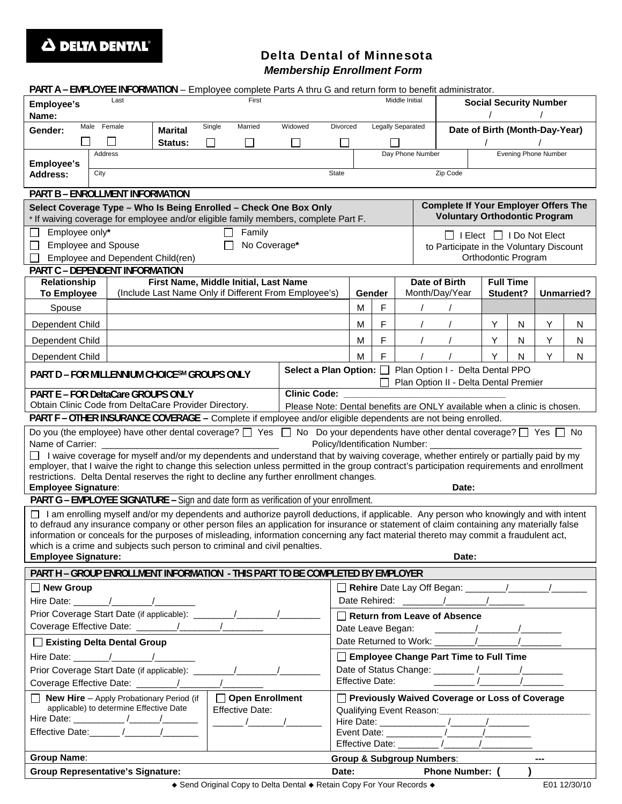

## Delta Dental of Minnesota *Membership Enrollment Form*

| PART A - EMPLOYEE INFORMATION - Employee complete Parts A thru G and return form to benefit administrator.                                                                                                                                                                         |                                          |         |                                                                                                                                            |  |                |                                                |                                                                                     |                  |                                      |                                |   |                             |              |  |  |  |
|------------------------------------------------------------------------------------------------------------------------------------------------------------------------------------------------------------------------------------------------------------------------------------|------------------------------------------|---------|--------------------------------------------------------------------------------------------------------------------------------------------|--|----------------|------------------------------------------------|-------------------------------------------------------------------------------------|------------------|--------------------------------------|--------------------------------|---|-----------------------------|--------------|--|--|--|
| First<br>Last<br>Employee's<br>Name:                                                                                                                                                                                                                                               |                                          |         |                                                                                                                                            |  | Middle Initial |                                                |                                                                                     |                  | <b>Social Security Number</b>        |                                |   |                             |              |  |  |  |
| Male Female<br>Single<br>Married<br>Widowed<br>Gender:<br><b>Marital</b>                                                                                                                                                                                                           |                                          |         |                                                                                                                                            |  |                | Legally Separated<br>Divorced                  |                                                                                     |                  |                                      | Date of Birth (Month-Day-Year) |   |                             |              |  |  |  |
| $\mathcal{L}$                                                                                                                                                                                                                                                                      |                                          | Status: | $\Box$                                                                                                                                     |  |                |                                                |                                                                                     |                  |                                      |                                |   |                             |              |  |  |  |
|                                                                                                                                                                                                                                                                                    | Address                                  |         |                                                                                                                                            |  |                |                                                |                                                                                     | Day Phone Number |                                      |                                |   | <b>Evening Phone Number</b> |              |  |  |  |
| <b>Employee's</b><br>Zip Code<br><b>State</b><br>City<br><b>Address:</b>                                                                                                                                                                                                           |                                          |         |                                                                                                                                            |  |                |                                                |                                                                                     |                  |                                      |                                |   |                             |              |  |  |  |
| PART B - ENROLLMENT INFORMATION                                                                                                                                                                                                                                                    |                                          |         |                                                                                                                                            |  |                |                                                |                                                                                     |                  |                                      |                                |   |                             |              |  |  |  |
| Select Coverage Type - Who Is Being Enrolled - Check One Box Only<br>* If waiving coverage for employee and/or eligible family members, complete Part F.                                                                                                                           |                                          |         |                                                                                                                                            |  |                |                                                | <b>Complete If Your Employer Offers The</b><br><b>Voluntary Orthodontic Program</b> |                  |                                      |                                |   |                             |              |  |  |  |
| Employee only*<br>Family                                                                                                                                                                                                                                                           |                                          |         |                                                                                                                                            |  |                |                                                |                                                                                     |                  | $\Box$ I Elect $\Box$ I Do Not Elect |                                |   |                             |              |  |  |  |
| No Coverage*<br><b>Employee and Spouse</b>                                                                                                                                                                                                                                         |                                          |         |                                                                                                                                            |  |                |                                                | to Participate in the Voluntary Discount                                            |                  |                                      |                                |   |                             |              |  |  |  |
| Employee and Dependent Child(ren)<br>Orthodontic Program                                                                                                                                                                                                                           |                                          |         |                                                                                                                                            |  |                |                                                |                                                                                     |                  |                                      |                                |   |                             |              |  |  |  |
| PART C - DEPENDENT INFORMATION<br>First Name, Middle Initial, Last Name<br><b>Full Time</b><br>Relationship<br>Date of Birth                                                                                                                                                       |                                          |         |                                                                                                                                            |  |                |                                                |                                                                                     |                  |                                      |                                |   |                             |              |  |  |  |
| (Include Last Name Only if Different From Employee's)<br><b>To Employee</b>                                                                                                                                                                                                        |                                          |         |                                                                                                                                            |  |                | Gender                                         |                                                                                     |                  | Month/Day/Year                       | Student?<br>Unmarried?         |   |                             |              |  |  |  |
| Spouse                                                                                                                                                                                                                                                                             |                                          |         |                                                                                                                                            |  |                | F<br>м                                         |                                                                                     |                  |                                      |                                |   |                             |              |  |  |  |
| Dependent Child                                                                                                                                                                                                                                                                    |                                          |         |                                                                                                                                            |  |                | М                                              | F                                                                                   |                  |                                      | Y                              | N | Y                           | N            |  |  |  |
| Dependent Child                                                                                                                                                                                                                                                                    |                                          |         |                                                                                                                                            |  |                | М                                              | F                                                                                   |                  |                                      | Υ                              | N | Υ                           | N            |  |  |  |
| Dependent Child                                                                                                                                                                                                                                                                    |                                          |         |                                                                                                                                            |  |                | м                                              | F                                                                                   |                  |                                      | Y                              | N | Y                           | N            |  |  |  |
| Select a Plan Option:   Plan Option I - Delta Dental PPO<br>PART D - FOR MILLENNIUM CHOICESM GROUPS ONLY<br>Plan Option II - Delta Dental Premier                                                                                                                                  |                                          |         |                                                                                                                                            |  |                |                                                |                                                                                     |                  |                                      |                                |   |                             |              |  |  |  |
| PART E - FOR DeltaCare GROUPS ONLY<br><b>Clinic Code:</b>                                                                                                                                                                                                                          |                                          |         |                                                                                                                                            |  |                |                                                |                                                                                     |                  |                                      |                                |   |                             |              |  |  |  |
| Obtain Clinic Code from DeltaCare Provider Directory.<br>Please Note: Dental benefits are ONLY available when a clinic is chosen.                                                                                                                                                  |                                          |         |                                                                                                                                            |  |                |                                                |                                                                                     |                  |                                      |                                |   |                             |              |  |  |  |
|                                                                                                                                                                                                                                                                                    |                                          |         | PART F - OTHER INSURANCE COVERAGE - Complete if employee and/or eligible dependents are not being enrolled.                                |  |                |                                                |                                                                                     |                  |                                      |                                |   |                             |              |  |  |  |
|                                                                                                                                                                                                                                                                                    |                                          |         | Do you (the employee) have other dental coverage? $\Box$ Yes $\Box$ No Do your dependents have other dental coverage? $\Box$ Yes $\Box$ No |  |                |                                                |                                                                                     |                  |                                      |                                |   |                             |              |  |  |  |
| Policy/Identification Number:<br>Name of Carrier:                                                                                                                                                                                                                                  |                                          |         |                                                                                                                                            |  |                |                                                |                                                                                     |                  |                                      |                                |   |                             |              |  |  |  |
| I waive coverage for myself and/or my dependents and understand that by waiving coverage, whether entirely or partially paid by my<br>employer, that I waive the right to change this selection unless permitted in the group contract's participation requirements and enrollment |                                          |         |                                                                                                                                            |  |                |                                                |                                                                                     |                  |                                      |                                |   |                             |              |  |  |  |
| restrictions. Delta Dental reserves the right to decline any further enrollment changes.                                                                                                                                                                                           |                                          |         |                                                                                                                                            |  |                |                                                |                                                                                     |                  |                                      |                                |   |                             |              |  |  |  |
| <b>Employee Signature:</b><br>Date:<br>PART G - EMPLOYEE SIGNATURE - Sign and date form as verification of your enrollment.                                                                                                                                                        |                                          |         |                                                                                                                                            |  |                |                                                |                                                                                     |                  |                                      |                                |   |                             |              |  |  |  |
|                                                                                                                                                                                                                                                                                    |                                          |         | □ I am enrolling myself and/or my dependents and authorize payroll deductions, if applicable. Any person who knowingly and with intent     |  |                |                                                |                                                                                     |                  |                                      |                                |   |                             |              |  |  |  |
|                                                                                                                                                                                                                                                                                    |                                          |         | to defraud any insurance company or other person files an application for insurance or statement of claim containing any materially false  |  |                |                                                |                                                                                     |                  |                                      |                                |   |                             |              |  |  |  |
|                                                                                                                                                                                                                                                                                    |                                          |         | information or conceals for the purposes of misleading, information concerning any fact material thereto may commit a fraudulent act,      |  |                |                                                |                                                                                     |                  |                                      |                                |   |                             |              |  |  |  |
| <b>Employee Signature:</b>                                                                                                                                                                                                                                                         |                                          |         | which is a crime and subjects such person to criminal and civil penalties.                                                                 |  |                |                                                |                                                                                     |                  | Date:                                |                                |   |                             |              |  |  |  |
| PART H - GROUP ENROLLMENT INFORMATION - THIS PART TO BE COMPLETED BY EMPLOYER                                                                                                                                                                                                      |                                          |         |                                                                                                                                            |  |                |                                                |                                                                                     |                  |                                      |                                |   |                             |              |  |  |  |
| $\Box$ New Group                                                                                                                                                                                                                                                                   |                                          |         |                                                                                                                                            |  |                |                                                |                                                                                     |                  |                                      |                                |   |                             |              |  |  |  |
|                                                                                                                                                                                                                                                                                    |                                          |         |                                                                                                                                            |  |                |                                                |                                                                                     |                  |                                      |                                |   |                             |              |  |  |  |
|                                                                                                                                                                                                                                                                                    |                                          |         |                                                                                                                                            |  |                | $\Box$ Return from Leave of Absence            |                                                                                     |                  |                                      |                                |   |                             |              |  |  |  |
|                                                                                                                                                                                                                                                                                    |                                          |         |                                                                                                                                            |  |                |                                                |                                                                                     |                  |                                      |                                |   |                             |              |  |  |  |
| Existing Delta Dental Group                                                                                                                                                                                                                                                        |                                          |         |                                                                                                                                            |  |                |                                                |                                                                                     |                  |                                      |                                |   |                             |              |  |  |  |
|                                                                                                                                                                                                                                                                                    |                                          |         |                                                                                                                                            |  |                | Employee Change Part Time to Full Time         |                                                                                     |                  |                                      |                                |   |                             |              |  |  |  |
|                                                                                                                                                                                                                                                                                    |                                          |         |                                                                                                                                            |  |                |                                                |                                                                                     |                  |                                      |                                |   |                             |              |  |  |  |
|                                                                                                                                                                                                                                                                                    |                                          |         |                                                                                                                                            |  |                |                                                |                                                                                     |                  |                                      |                                |   |                             |              |  |  |  |
| □ Open Enrollment<br>$\Box$ New Hire - Apply Probationary Period (if $\vert$<br>applicable) to determine Effective Date<br><b>Effective Date:</b>                                                                                                                                  |                                          |         |                                                                                                                                            |  |                | Previously Waived Coverage or Loss of Coverage |                                                                                     |                  |                                      |                                |   |                             |              |  |  |  |
| $\frac{1}{\sqrt{1-\frac{1}{2}}}$ $\frac{1}{\sqrt{1-\frac{1}{2}}}$                                                                                                                                                                                                                  |                                          |         |                                                                                                                                            |  |                |                                                |                                                                                     |                  |                                      |                                |   |                             |              |  |  |  |
| Effective Date: ______ /_______ /_______                                                                                                                                                                                                                                           |                                          |         |                                                                                                                                            |  |                |                                                |                                                                                     |                  |                                      |                                |   |                             |              |  |  |  |
|                                                                                                                                                                                                                                                                                    |                                          |         |                                                                                                                                            |  |                |                                                |                                                                                     |                  |                                      |                                |   |                             |              |  |  |  |
| <b>Group Name:</b>                                                                                                                                                                                                                                                                 |                                          |         |                                                                                                                                            |  |                |                                                | <b>Group &amp; Subgroup Numbers:</b><br>$\overline{a}$<br>Date:<br>Phone Number: (  |                  |                                      |                                |   |                             |              |  |  |  |
|                                                                                                                                                                                                                                                                                    | <b>Group Representative's Signature:</b> |         |                                                                                                                                            |  |                |                                                |                                                                                     |                  |                                      |                                |   |                             |              |  |  |  |
|                                                                                                                                                                                                                                                                                    |                                          |         | ◆ Send Original Copy to Delta Dental ◆ Retain Copy For Your Records ◆                                                                      |  |                |                                                |                                                                                     |                  |                                      |                                |   |                             | E01 12/30/10 |  |  |  |